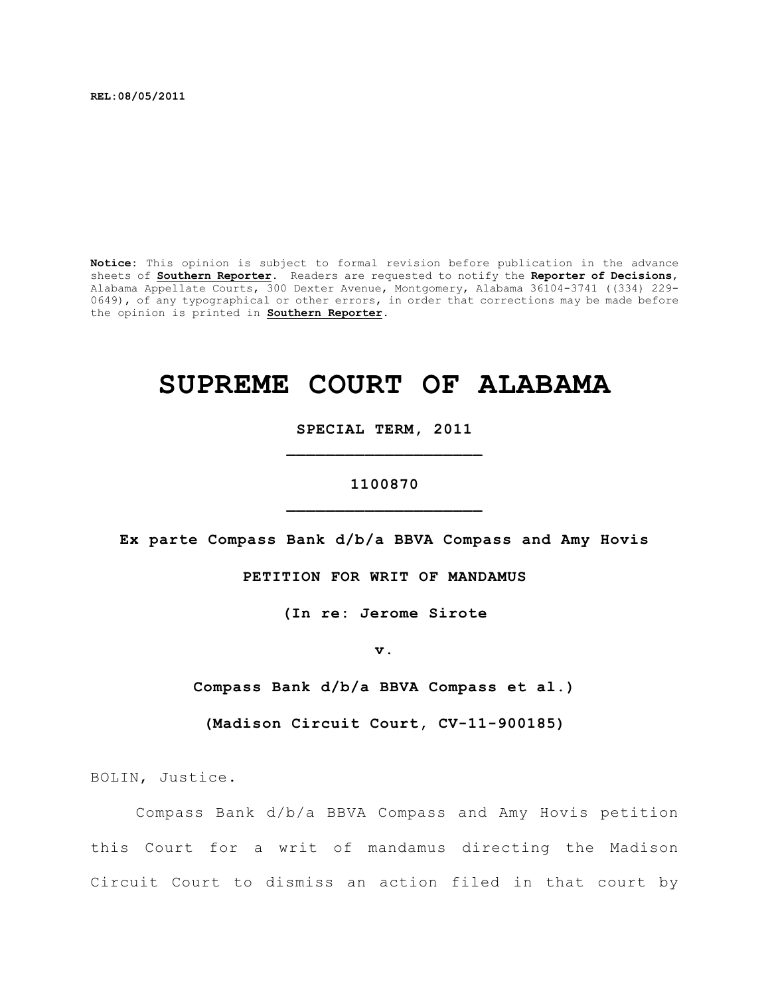**REL:08/05/2011**

**Notice:** This opinion is subject to formal revision before publication in the advance sheets of **Southern Reporter**. Readers are requested to notify the **Reporter of Decisions**, Alabama Appellate Courts, 300 Dexter Avenue, Montgomery, Alabama 36104-3741 ((334) 229- 0649), of any typographical or other errors, in order that corrections may be made before the opinion is printed in **Southern Reporter**.

# **SUPREME COURT OF ALABAMA**

**SPECIAL TERM, 2011 \_\_\_\_\_\_\_\_\_\_\_\_\_\_\_\_\_\_\_\_**

# **1100870 \_\_\_\_\_\_\_\_\_\_\_\_\_\_\_\_\_\_\_\_**

**Ex parte Compass Bank d/b/a BBVA Compass and Amy Hovis**

# **PETITION FOR WRIT OF MANDAMUS**

**(In re: Jerome Sirote**

**v.**

**Compass Bank d/b/a BBVA Compass et al.)**

**(Madison Circuit Court, CV-11-900185)**

BOLIN, Justice.

Compass Bank d/b/a BBVA Compass and Amy Hovis petition this Court for a writ of mandamus directing the Madison Circuit Court to dismiss an action filed in that court by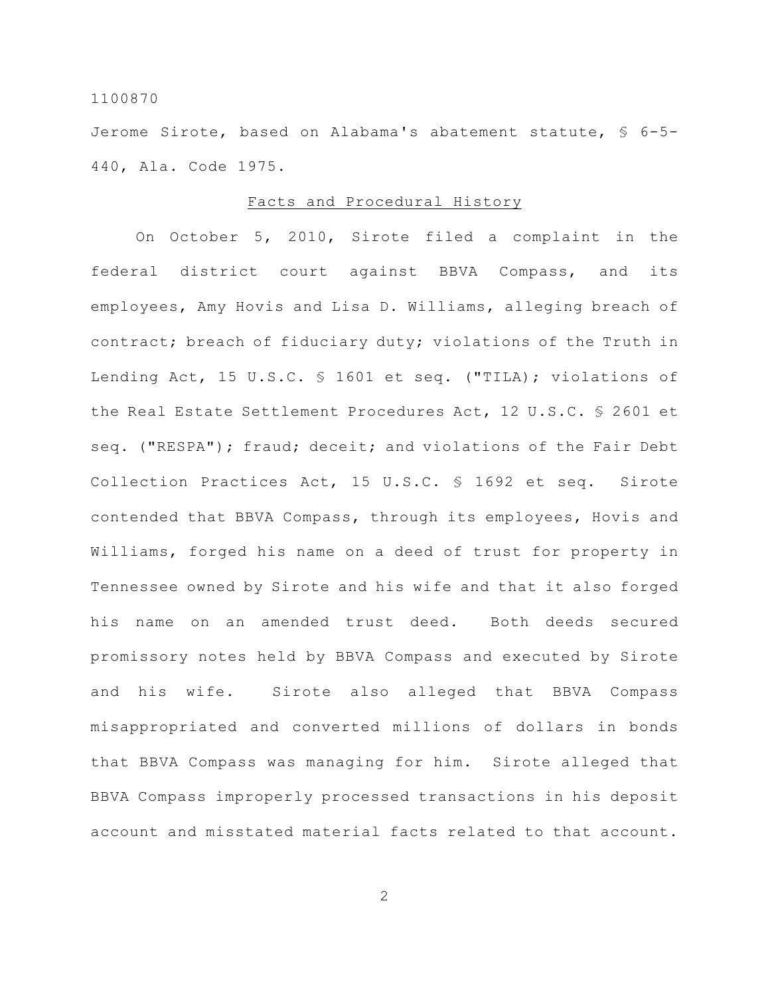Jerome Sirote, based on Alabama's abatement statute, § 6-5- 440, Ala. Code 1975.

# Facts and Procedural History

On October 5, 2010, Sirote filed a complaint in the federal district court against BBVA Compass, and its employees, Amy Hovis and Lisa D. Williams, alleging breach of contract; breach of fiduciary duty; violations of the Truth in Lending Act, 15 U.S.C. § 1601 et seq. ("TILA); violations of the Real Estate Settlement Procedures Act, 12 U.S.C. § 2601 et seq. ("RESPA"); fraud; deceit; and violations of the Fair Debt Collection Practices Act, 15 U.S.C. § 1692 et seq. Sirote contended that BBVA Compass, through its employees, Hovis and Williams, forged his name on a deed of trust for property in Tennessee owned by Sirote and his wife and that it also forged his name on an amended trust deed. Both deeds secured promissory notes held by BBVA Compass and executed by Sirote and his wife. Sirote also alleged that BBVA Compass misappropriated and converted millions of dollars in bonds that BBVA Compass was managing for him. Sirote alleged that BBVA Compass improperly processed transactions in his deposit account and misstated material facts related to that account.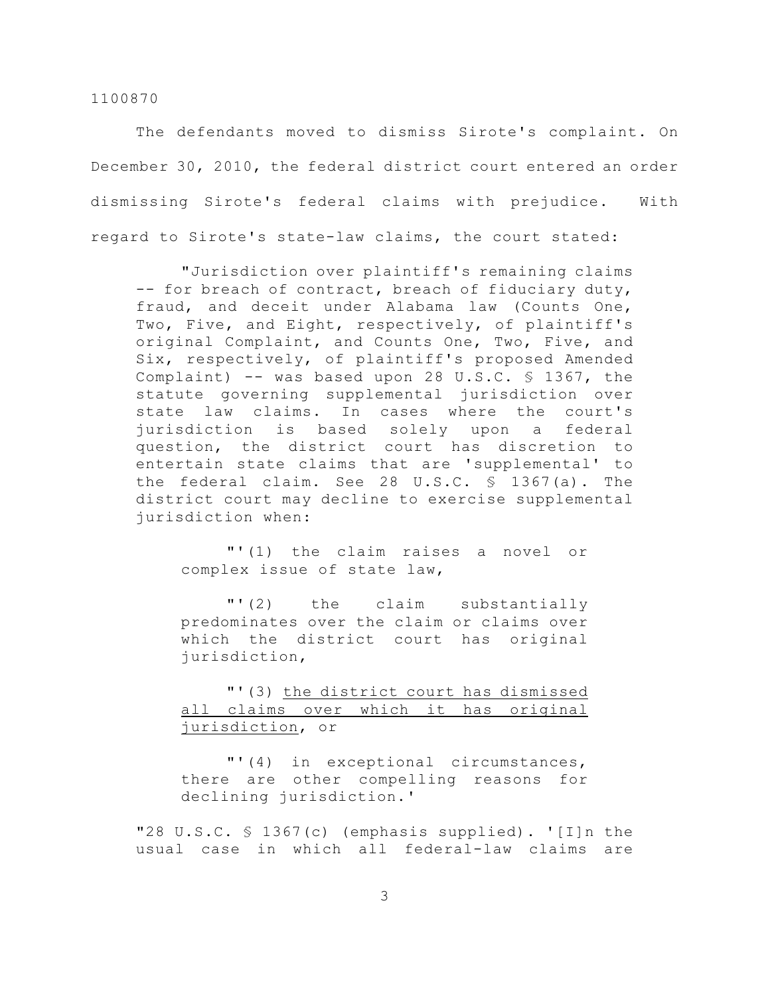The defendants moved to dismiss Sirote's complaint. On December 30, 2010, the federal district court entered an order dismissing Sirote's federal claims with prejudice. With regard to Sirote's state-law claims, the court stated:

"Jurisdiction over plaintiff's remaining claims -- for breach of contract, breach of fiduciary duty, fraud, and deceit under Alabama law (Counts One, Two, Five, and Eight, respectively, of plaintiff's original Complaint, and Counts One, Two, Five, and Six, respectively, of plaintiff's proposed Amended Complaint)  $-$  was based upon 28 U.S.C. § 1367, the statute governing supplemental jurisdiction over state law claims. In cases where the court's jurisdiction is based solely upon a federal question, the district court has discretion to entertain state claims that are 'supplemental' to the federal claim. See 28 U.S.C. § 1367(a). The district court may decline to exercise supplemental jurisdiction when:

"'(1) the claim raises a novel or complex issue of state law,

"'(2) the claim substantially predominates over the claim or claims over which the district court has original jurisdiction,

"'(3) the district court has dismissed all claims over which it has original jurisdiction, or

"'(4) in exceptional circumstances, there are other compelling reasons for declining jurisdiction.'

"28 U.S.C. § 1367(c) (emphasis supplied). '[I]n the usual case in which all federal-law claims are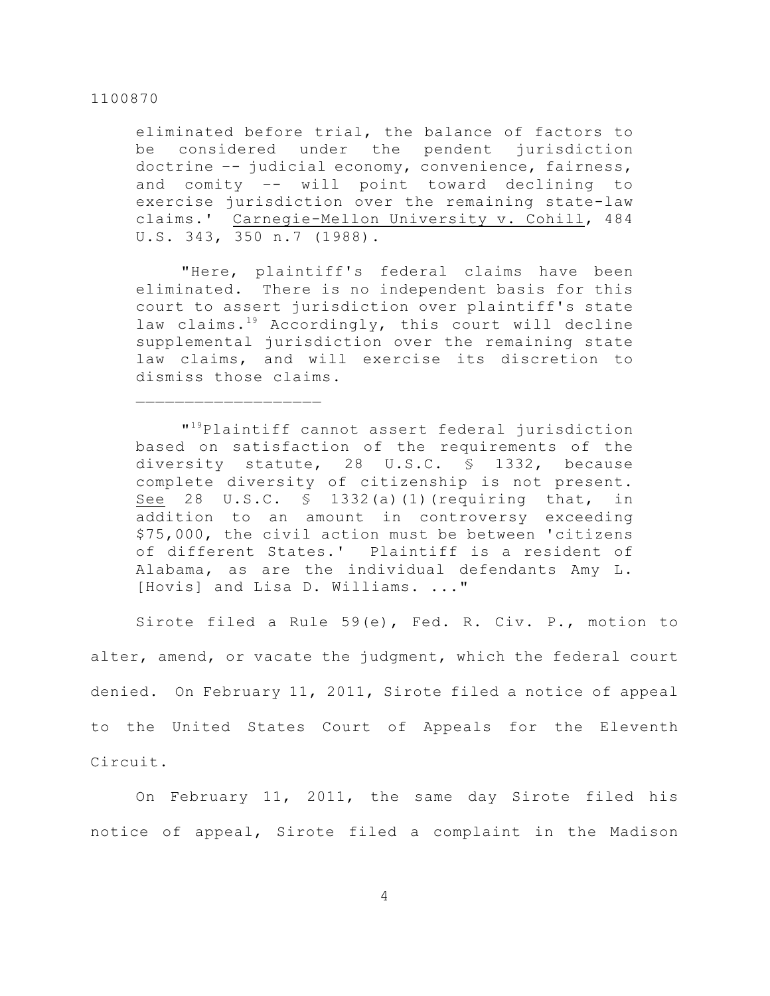eliminated before trial, the balance of factors to be considered under the pendent jurisdiction doctrine –- judicial economy, convenience, fairness, and comity –- will point toward declining to exercise jurisdiction over the remaining state-law claims.' Carnegie-Mellon University v. Cohill, 484 U.S. 343, 350 n.7 (1988).

"Here, plaintiff's federal claims have been eliminated. There is no independent basis for this court to assert jurisdiction over plaintiff's state law claims. $19$  Accordingly, this court will decline supplemental jurisdiction over the remaining state law claims, and will exercise its discretion to dismiss those claims.

"<sup>19</sup>Plaintiff cannot assert federal jurisdiction based on satisfaction of the requirements of the diversity statute, 28 U.S.C. § 1332, because complete diversity of citizenship is not present. See 28 U.S.C. § 1332(a)(1)(requiring that, in addition to an amount in controversy exceeding \$75,000, the civil action must be between 'citizens of different States.' Plaintiff is a resident of Alabama, as are the individual defendants Amy L. [Hovis] and Lisa D. Williams. ..."

Sirote filed a Rule 59(e), Fed. R. Civ. P., motion to alter, amend, or vacate the judgment, which the federal court denied. On February 11, 2011, Sirote filed a notice of appeal to the United States Court of Appeals for the Eleventh Circuit.

On February 11, 2011, the same day Sirote filed his notice of appeal, Sirote filed a complaint in the Madison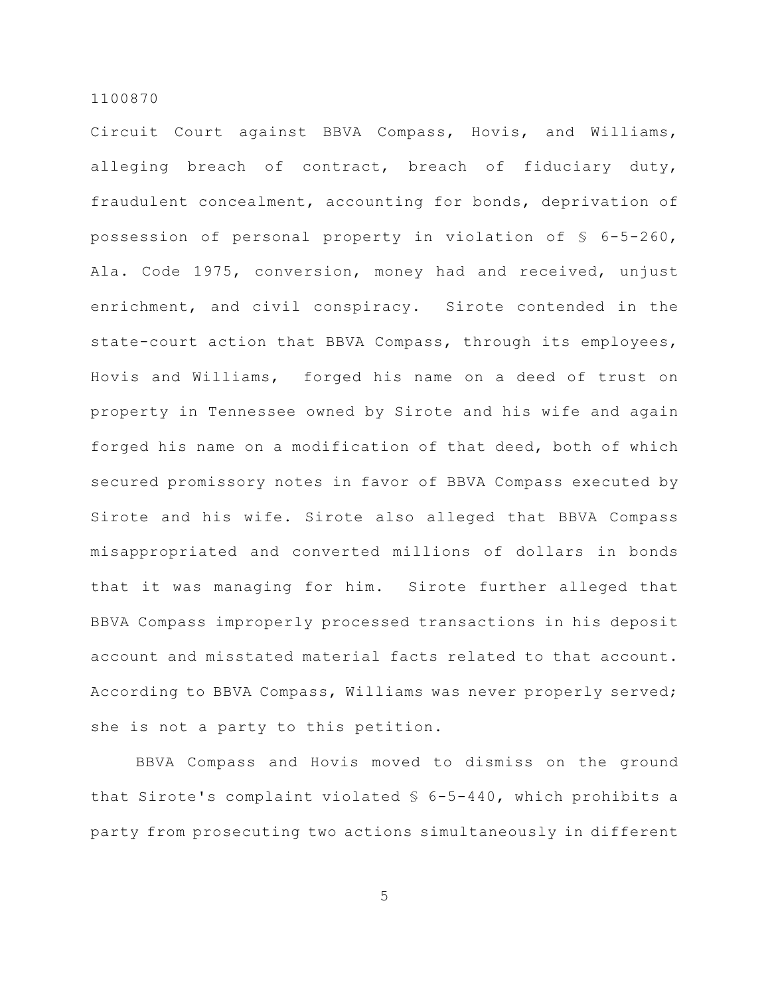Circuit Court against BBVA Compass, Hovis, and Williams, alleging breach of contract, breach of fiduciary duty, fraudulent concealment, accounting for bonds, deprivation of possession of personal property in violation of § 6-5-260, Ala. Code 1975, conversion, money had and received, unjust enrichment, and civil conspiracy. Sirote contended in the state-court action that BBVA Compass, through its employees, Hovis and Williams, forged his name on a deed of trust on property in Tennessee owned by Sirote and his wife and again forged his name on a modification of that deed, both of which secured promissory notes in favor of BBVA Compass executed by Sirote and his wife. Sirote also alleged that BBVA Compass misappropriated and converted millions of dollars in bonds that it was managing for him. Sirote further alleged that BBVA Compass improperly processed transactions in his deposit account and misstated material facts related to that account. According to BBVA Compass, Williams was never properly served; she is not a party to this petition.

BBVA Compass and Hovis moved to dismiss on the ground that Sirote's complaint violated § 6-5-440, which prohibits a party from prosecuting two actions simultaneously in different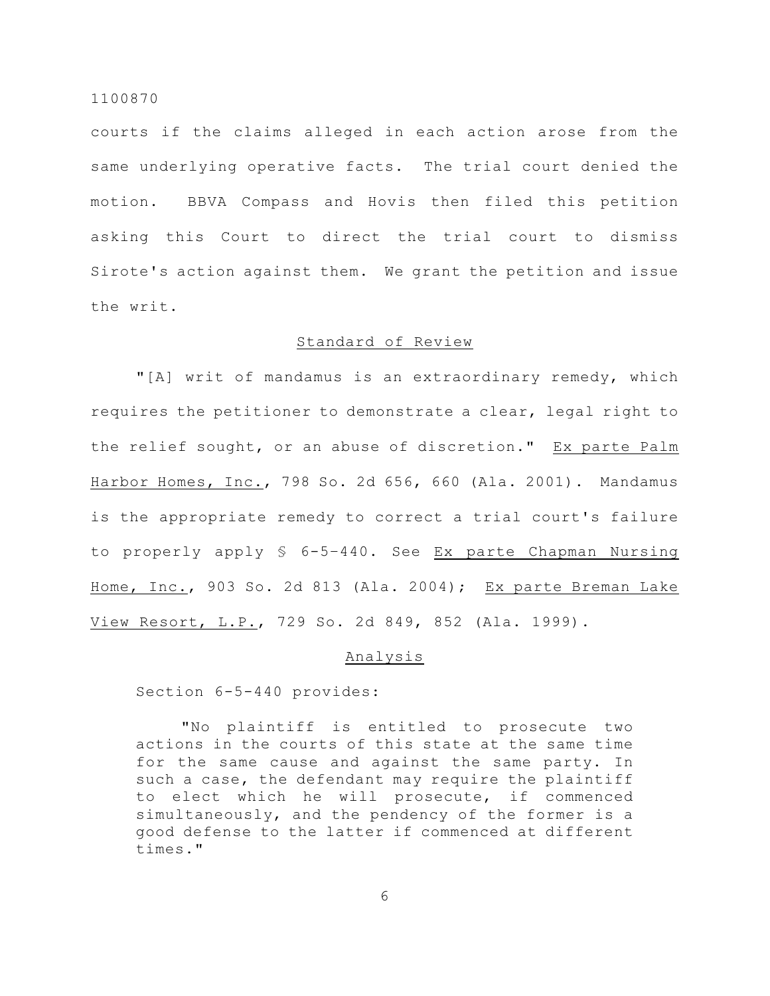courts if the claims alleged in each action arose from the same underlying operative facts. The trial court denied the motion. BBVA Compass and Hovis then filed this petition asking this Court to direct the trial court to dismiss Sirote's action against them. We grant the petition and issue the writ.

# Standard of Review

"[A] writ of mandamus is an extraordinary remedy, which requires the petitioner to demonstrate a clear, legal right to the relief sought, or an abuse of discretion." Ex parte Palm Harbor Homes, Inc., 798 So. 2d 656, 660 (Ala. 2001). Mandamus is the appropriate remedy to correct a trial court's failure to properly apply § 6-5–440. See Ex parte Chapman Nursing Home, Inc., 903 So. 2d 813 (Ala. 2004); Ex parte Breman Lake View Resort, L.P., 729 So. 2d 849, 852 (Ala. 1999).

#### Analysis

Section 6-5-440 provides:

"No plaintiff is entitled to prosecute two actions in the courts of this state at the same time for the same cause and against the same party. In such a case, the defendant may require the plaintiff to elect which he will prosecute, if commenced simultaneously, and the pendency of the former is a good defense to the latter if commenced at different times."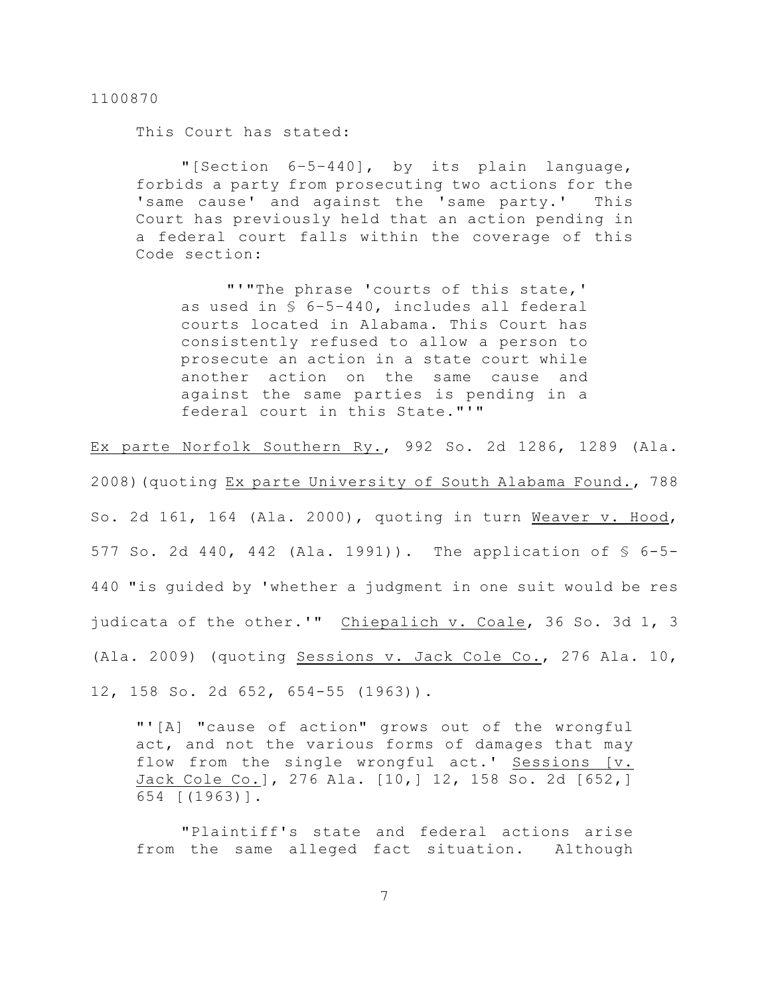This Court has stated:

"[Section 6–5–440], by its plain language, forbids a party from prosecuting two actions for the 'same cause' and against the 'same party.' This Court has previously held that an action pending in a federal court falls within the coverage of this Code section:

"'"The phrase 'courts of this state,' as used in § 6–5–440, includes all federal courts located in Alabama. This Court has consistently refused to allow a person to prosecute an action in a state court while another action on the same cause and against the same parties is pending in a federal court in this State."'"

Ex parte Norfolk Southern Ry., 992 So. 2d 1286, 1289 (Ala.

2008)(quoting Ex parte University of South Alabama Found., 788

So. 2d 161, 164 (Ala. 2000), quoting in turn Weaver v. Hood, 577 So. 2d 440, 442 (Ala. 1991)). The application of § 6-5- 440 "is guided by 'whether a judgment in one suit would be res judicata of the other.'" Chiepalich v. Coale, 36 So. 3d 1, 3 (Ala. 2009) (quoting Sessions v. Jack Cole Co., 276 Ala. 10, 12, 158 So. 2d 652, 654-55 (1963)).

"'[A] "cause of action" grows out of the wrongful act, and not the various forms of damages that may flow from the single wrongful act.' Sessions [v. Jack Cole Co.], 276 Ala. [10,] 12, 158 So. 2d [652,] 654 [(1963)].

"Plaintiff's state and federal actions arise from the same alleged fact situation. Although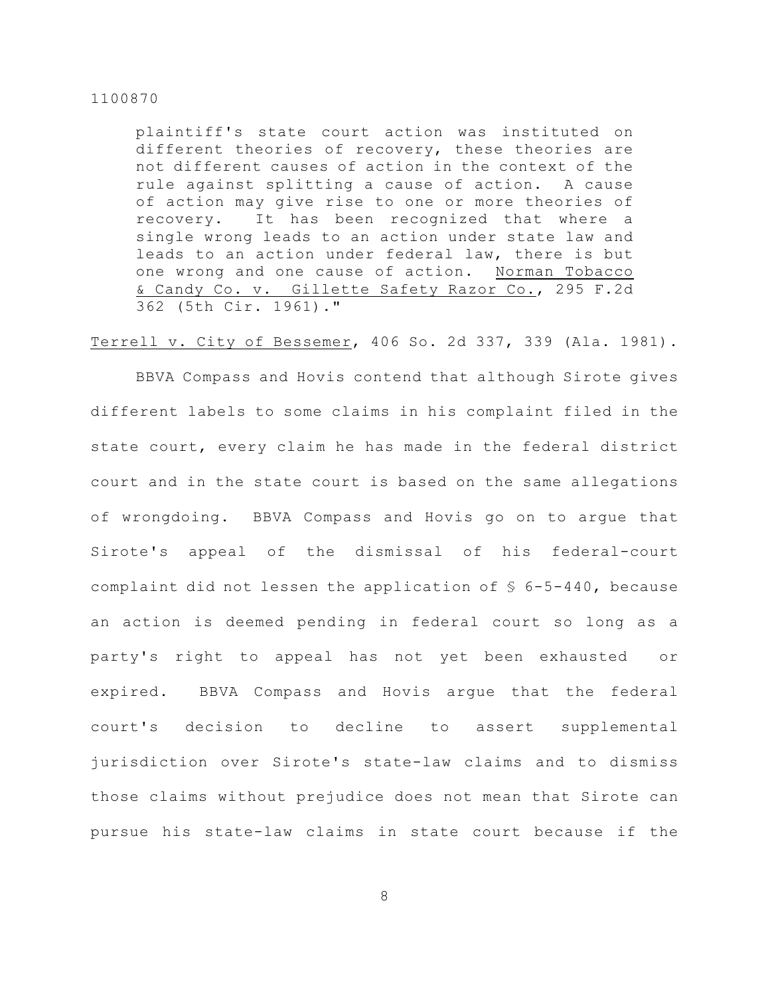plaintiff's state court action was instituted on different theories of recovery, these theories are not different causes of action in the context of the rule against splitting a cause of action. A cause of action may give rise to one or more theories of recovery. It has been recognized that where a single wrong leads to an action under state law and leads to an action under federal law, there is but one wrong and one cause of action. Norman Tobacco & Candy Co. v. Gillette Safety Razor Co., 295 F.2d 362 (5th Cir. 1961)."

Terrell v. City of Bessemer, 406 So. 2d 337, 339 (Ala. 1981).

BBVA Compass and Hovis contend that although Sirote gives different labels to some claims in his complaint filed in the state court, every claim he has made in the federal district court and in the state court is based on the same allegations of wrongdoing. BBVA Compass and Hovis go on to argue that Sirote's appeal of the dismissal of his federal-court complaint did not lessen the application of  $\frac{1}{5}$  6-5-440, because an action is deemed pending in federal court so long as a party's right to appeal has not yet been exhausted or expired. BBVA Compass and Hovis argue that the federal court's decision to decline to assert supplemental jurisdiction over Sirote's state-law claims and to dismiss those claims without prejudice does not mean that Sirote can pursue his state-law claims in state court because if the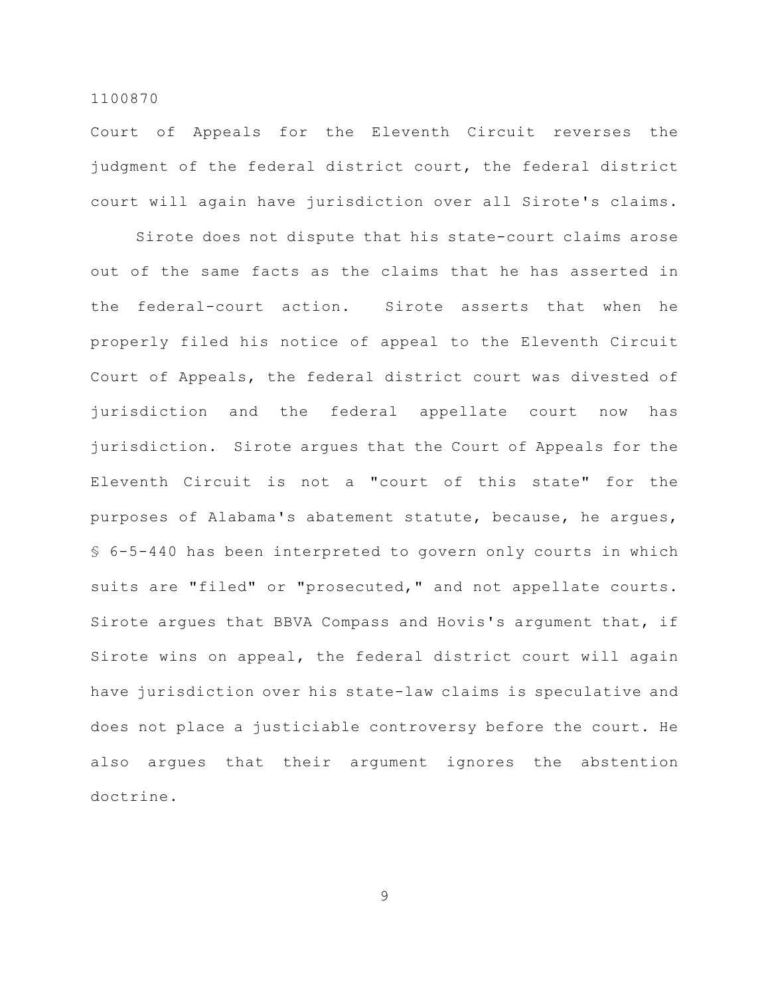Court of Appeals for the Eleventh Circuit reverses the judgment of the federal district court, the federal district court will again have jurisdiction over all Sirote's claims.

Sirote does not dispute that his state-court claims arose out of the same facts as the claims that he has asserted in the federal-court action. Sirote asserts that when he properly filed his notice of appeal to the Eleventh Circuit Court of Appeals, the federal district court was divested of jurisdiction and the federal appellate court now has jurisdiction. Sirote argues that the Court of Appeals for the Eleventh Circuit is not a "court of this state" for the purposes of Alabama's abatement statute, because, he argues, § 6-5-440 has been interpreted to govern only courts in which suits are "filed" or "prosecuted," and not appellate courts. Sirote argues that BBVA Compass and Hovis's argument that, if Sirote wins on appeal, the federal district court will again have jurisdiction over his state-law claims is speculative and does not place a justiciable controversy before the court. He also argues that their argument ignores the abstention doctrine.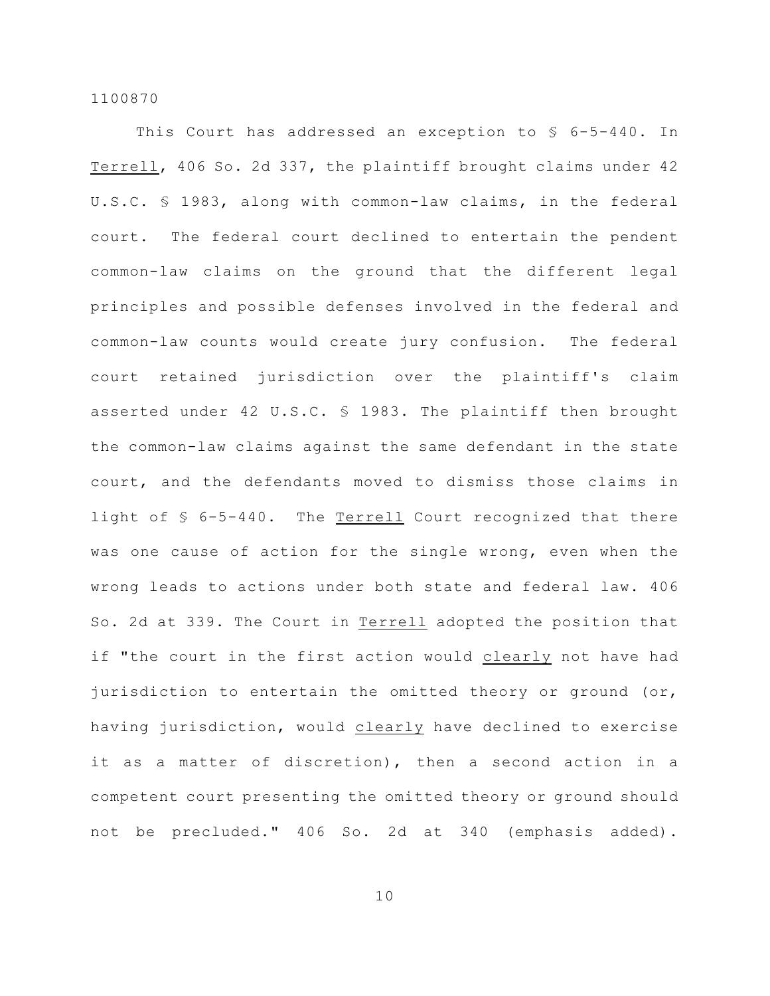This Court has addressed an exception to § 6-5-440. In Terrell, 406 So. 2d 337, the plaintiff brought claims under 42 U.S.C. § 1983, along with common-law claims, in the federal court. The federal court declined to entertain the pendent common-law claims on the ground that the different legal principles and possible defenses involved in the federal and common-law counts would create jury confusion. The federal court retained jurisdiction over the plaintiff's claim asserted under 42 U.S.C. § 1983. The plaintiff then brought the common-law claims against the same defendant in the state court, and the defendants moved to dismiss those claims in light of § 6-5-440. The Terrell Court recognized that there was one cause of action for the single wrong, even when the wrong leads to actions under both state and federal law. 406 So. 2d at 339. The Court in Terrell adopted the position that if "the court in the first action would clearly not have had jurisdiction to entertain the omitted theory or ground (or, having jurisdiction, would clearly have declined to exercise it as a matter of discretion), then a second action in a competent court presenting the omitted theory or ground should not be precluded." 406 So. 2d at 340 (emphasis added).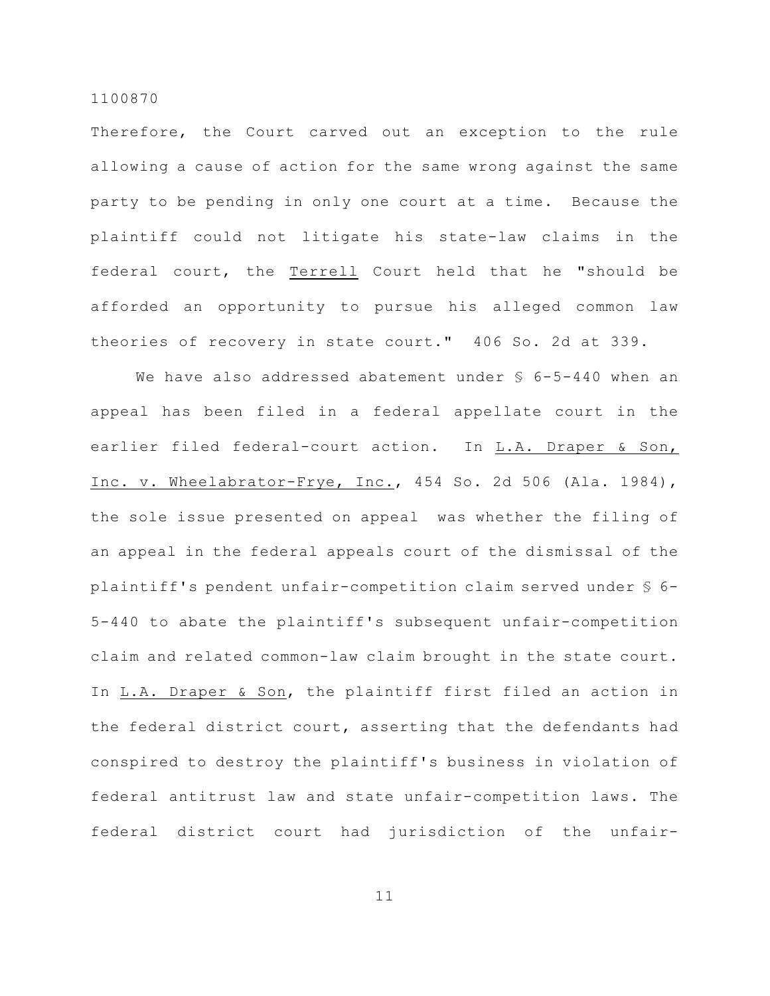Therefore, the Court carved out an exception to the rule allowing a cause of action for the same wrong against the same party to be pending in only one court at a time. Because the plaintiff could not litigate his state-law claims in the federal court, the Terrell Court held that he "should be afforded an opportunity to pursue his alleged common law theories of recovery in state court." 406 So. 2d at 339.

We have also addressed abatement under  $$6-5-440$  when an appeal has been filed in a federal appellate court in the earlier filed federal-court action. In L.A. Draper & Son, Inc. v. Wheelabrator-Frye, Inc., 454 So. 2d 506 (Ala. 1984), the sole issue presented on appeal was whether the filing of an appeal in the federal appeals court of the dismissal of the plaintiff's pendent unfair-competition claim served under § 6- 5-440 to abate the plaintiff's subsequent unfair-competition claim and related common-law claim brought in the state court. In L.A. Draper & Son, the plaintiff first filed an action in the federal district court, asserting that the defendants had conspired to destroy the plaintiff's business in violation of federal antitrust law and state unfair-competition laws. The federal district court had jurisdiction of the unfair-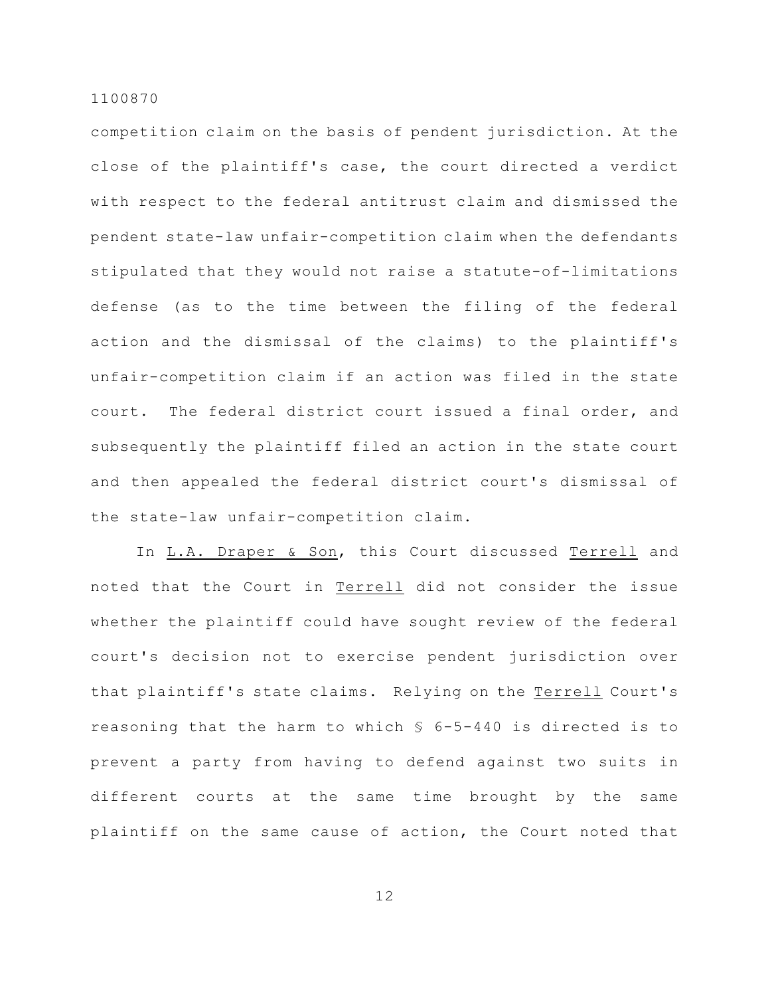competition claim on the basis of pendent jurisdiction. At the close of the plaintiff's case, the court directed a verdict with respect to the federal antitrust claim and dismissed the pendent state-law unfair-competition claim when the defendants stipulated that they would not raise a statute-of-limitations defense (as to the time between the filing of the federal action and the dismissal of the claims) to the plaintiff's unfair-competition claim if an action was filed in the state court. The federal district court issued a final order, and subsequently the plaintiff filed an action in the state court and then appealed the federal district court's dismissal of the state-law unfair-competition claim.

In L.A. Draper & Son, this Court discussed Terrell and noted that the Court in Terrell did not consider the issue whether the plaintiff could have sought review of the federal court's decision not to exercise pendent jurisdiction over that plaintiff's state claims. Relying on the Terrell Court's reasoning that the harm to which § 6-5-440 is directed is to prevent a party from having to defend against two suits in different courts at the same time brought by the same plaintiff on the same cause of action, the Court noted that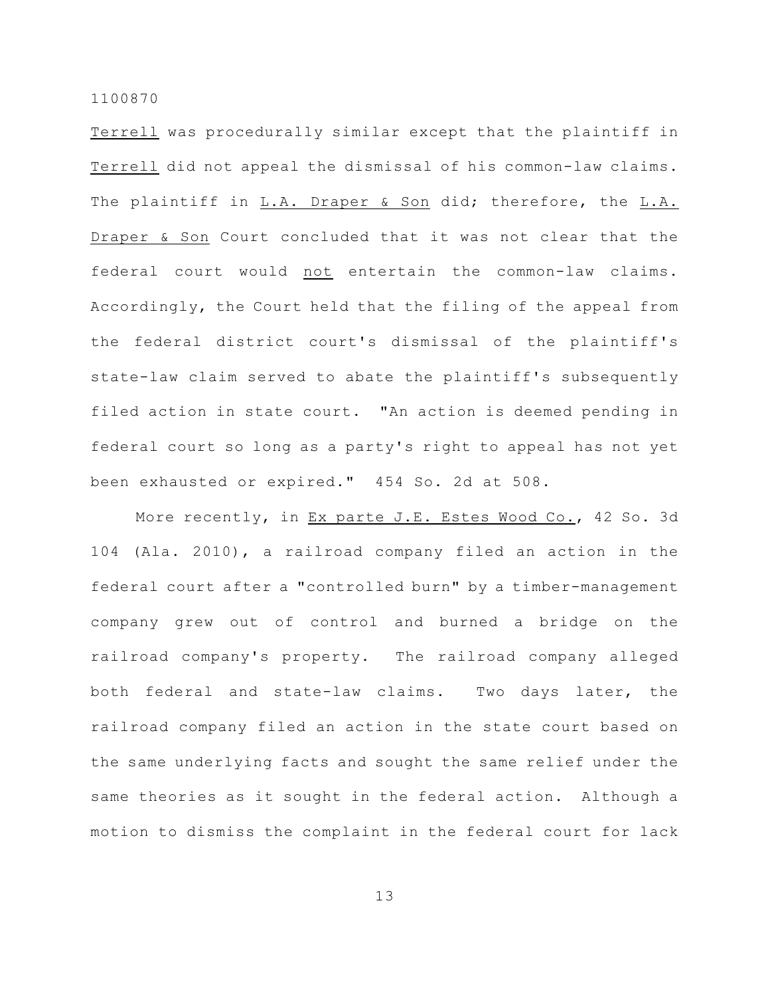Terrell was procedurally similar except that the plaintiff in Terrell did not appeal the dismissal of his common-law claims. The plaintiff in L.A. Draper & Son did; therefore, the L.A. Draper & Son Court concluded that it was not clear that the federal court would not entertain the common-law claims. Accordingly, the Court held that the filing of the appeal from the federal district court's dismissal of the plaintiff's state-law claim served to abate the plaintiff's subsequently filed action in state court. "An action is deemed pending in federal court so long as a party's right to appeal has not yet been exhausted or expired." 454 So. 2d at 508.

More recently, in Ex parte J.E. Estes Wood Co., 42 So. 3d 104 (Ala. 2010), a railroad company filed an action in the federal court after a "controlled burn" by a timber-management company grew out of control and burned a bridge on the railroad company's property. The railroad company alleged both federal and state-law claims. Two days later, the railroad company filed an action in the state court based on the same underlying facts and sought the same relief under the same theories as it sought in the federal action. Although a motion to dismiss the complaint in the federal court for lack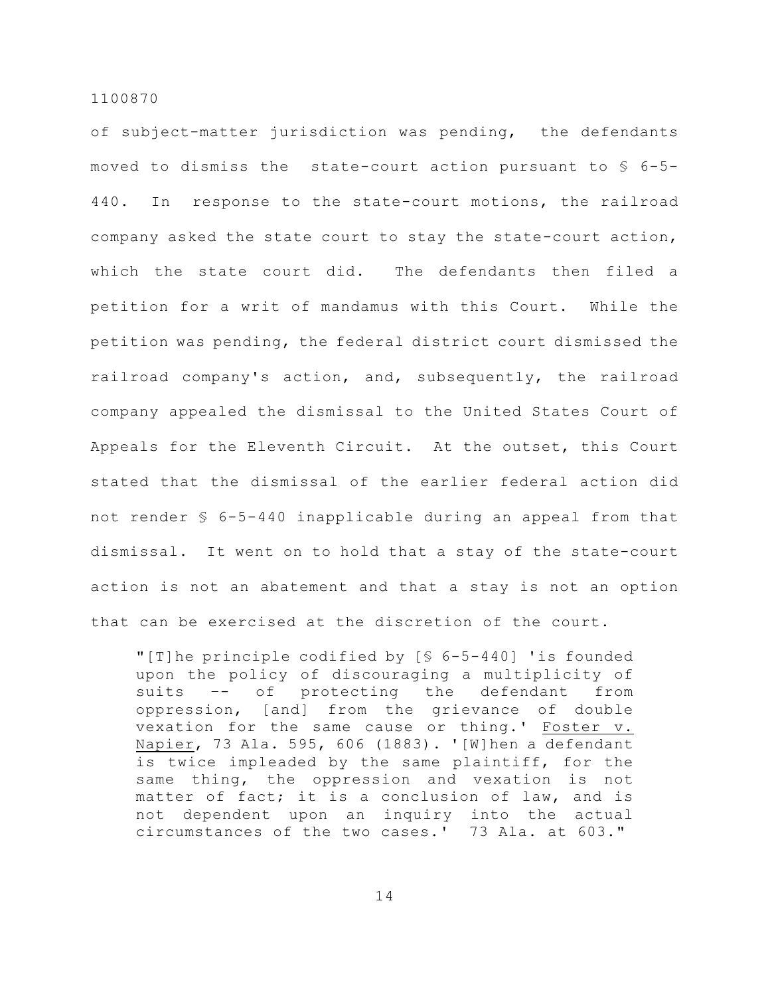of subject-matter jurisdiction was pending, the defendants moved to dismiss the state-court action pursuant to § 6-5- 440. In response to the state-court motions, the railroad company asked the state court to stay the state-court action, which the state court did. The defendants then filed a petition for a writ of mandamus with this Court. While the petition was pending, the federal district court dismissed the railroad company's action, and, subsequently, the railroad company appealed the dismissal to the United States Court of Appeals for the Eleventh Circuit. At the outset, this Court stated that the dismissal of the earlier federal action did not render § 6-5-440 inapplicable during an appeal from that dismissal. It went on to hold that a stay of the state-court action is not an abatement and that a stay is not an option that can be exercised at the discretion of the court.

"[T]he principle codified by [§ 6-5-440] 'is founded upon the policy of discouraging a multiplicity of suits –- of protecting the defendant from oppression, [and] from the grievance of double vexation for the same cause or thing.' Foster v. Napier, 73 Ala. 595, 606 (1883). '[W]hen a defendant is twice impleaded by the same plaintiff, for the same thing, the oppression and vexation is not matter of fact; it is a conclusion of law, and is not dependent upon an inquiry into the actual circumstances of the two cases.' 73 Ala. at 603."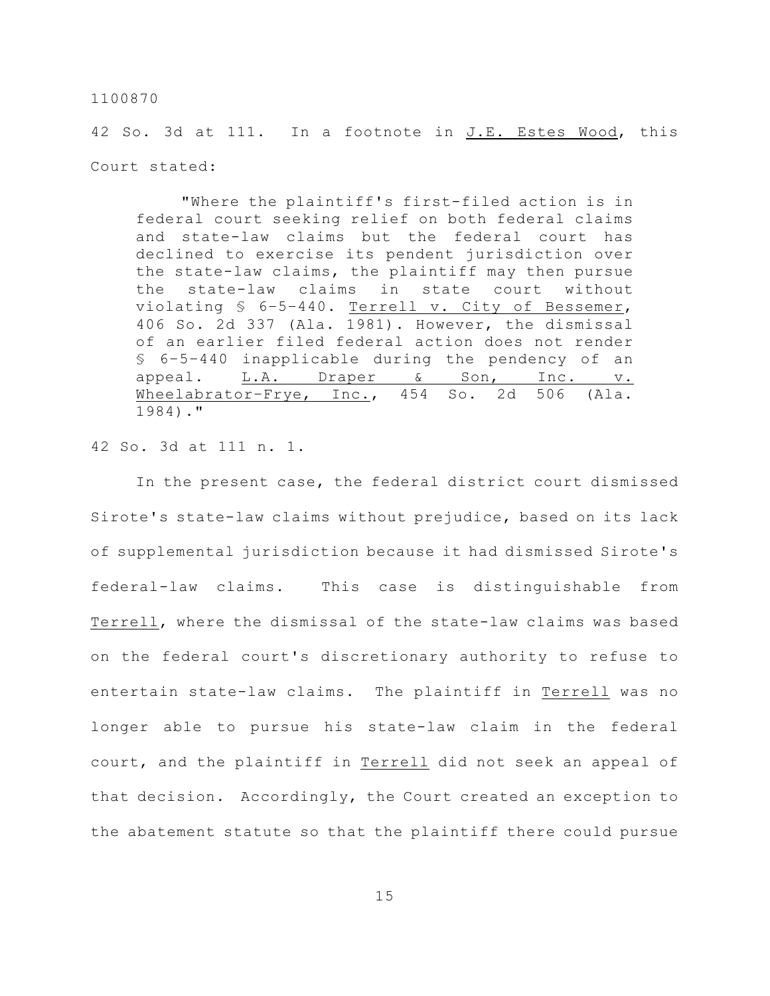42 So. 3d at 111. In a footnote in J.E. Estes Wood, this Court stated:

"Where the plaintiff's first-filed action is in federal court seeking relief on both federal claims and state-law claims but the federal court has declined to exercise its pendent jurisdiction over the state-law claims, the plaintiff may then pursue the state-law claims in state court without violating § 6–5–440. Terrell v. City of Bessemer, 406 So. 2d 337 (Ala. 1981). However, the dismissal of an earlier filed federal action does not render § 6–5–440 inapplicable during the pendency of an appeal. L.A. Draper & Son, Inc. v. Wheelabrator–Frye, Inc., 454 So. 2d 506 (Ala. 1984)."

42 So. 3d at 111 n. 1.

In the present case, the federal district court dismissed Sirote's state-law claims without prejudice, based on its lack of supplemental jurisdiction because it had dismissed Sirote's federal-law claims. This case is distinguishable from Terrell, where the dismissal of the state-law claims was based on the federal court's discretionary authority to refuse to entertain state-law claims. The plaintiff in Terrell was no longer able to pursue his state-law claim in the federal court, and the plaintiff in Terrell did not seek an appeal of that decision. Accordingly, the Court created an exception to the abatement statute so that the plaintiff there could pursue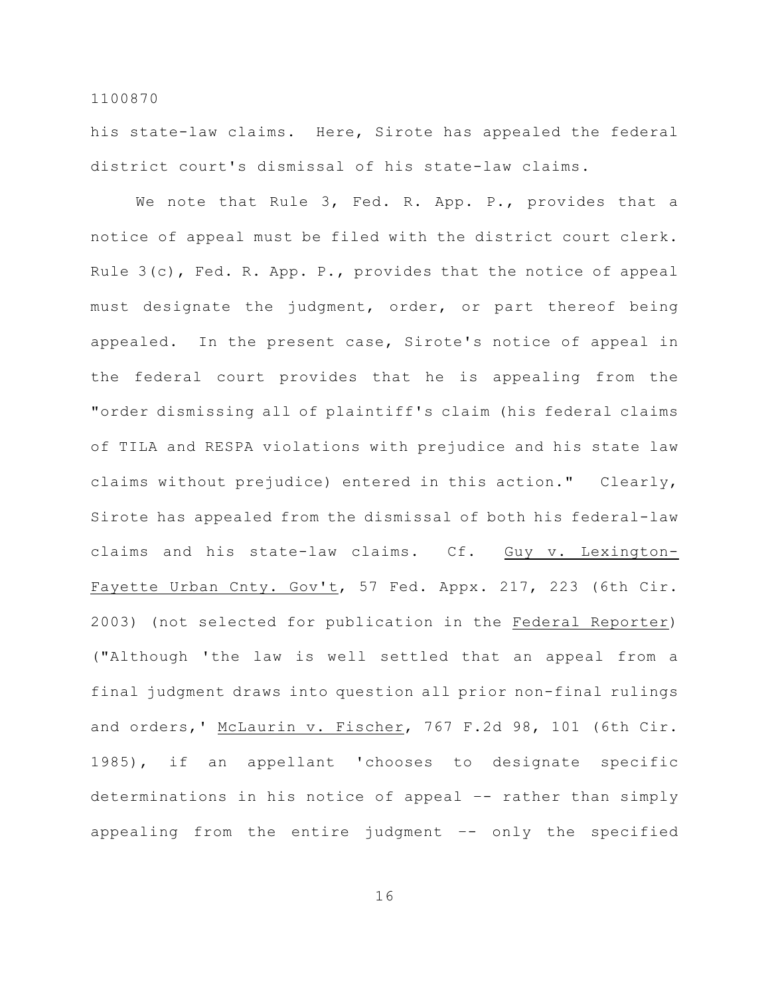his state-law claims. Here, Sirote has appealed the federal district court's dismissal of his state-law claims.

We note that Rule 3, Fed. R. App. P., provides that a notice of appeal must be filed with the district court clerk. Rule 3(c), Fed. R. App. P., provides that the notice of appeal must designate the judgment, order, or part thereof being appealed. In the present case, Sirote's notice of appeal in the federal court provides that he is appealing from the "order dismissing all of plaintiff's claim (his federal claims of TILA and RESPA violations with prejudice and his state law claims without prejudice) entered in this action." Clearly, Sirote has appealed from the dismissal of both his federal-law claims and his state-law claims. Cf. Guy v. Lexington-Fayette Urban Cnty. Gov't, 57 Fed. Appx. 217, 223 (6th Cir. 2003) (not selected for publication in the Federal Reporter) ("Although 'the law is well settled that an appeal from a final judgment draws into question all prior non-final rulings and orders,' McLaurin v. Fischer, 767 F.2d 98, 101 (6th Cir. 1985), if an appellant 'chooses to designate specific determinations in his notice of appeal –- rather than simply appealing from the entire judgment –- only the specified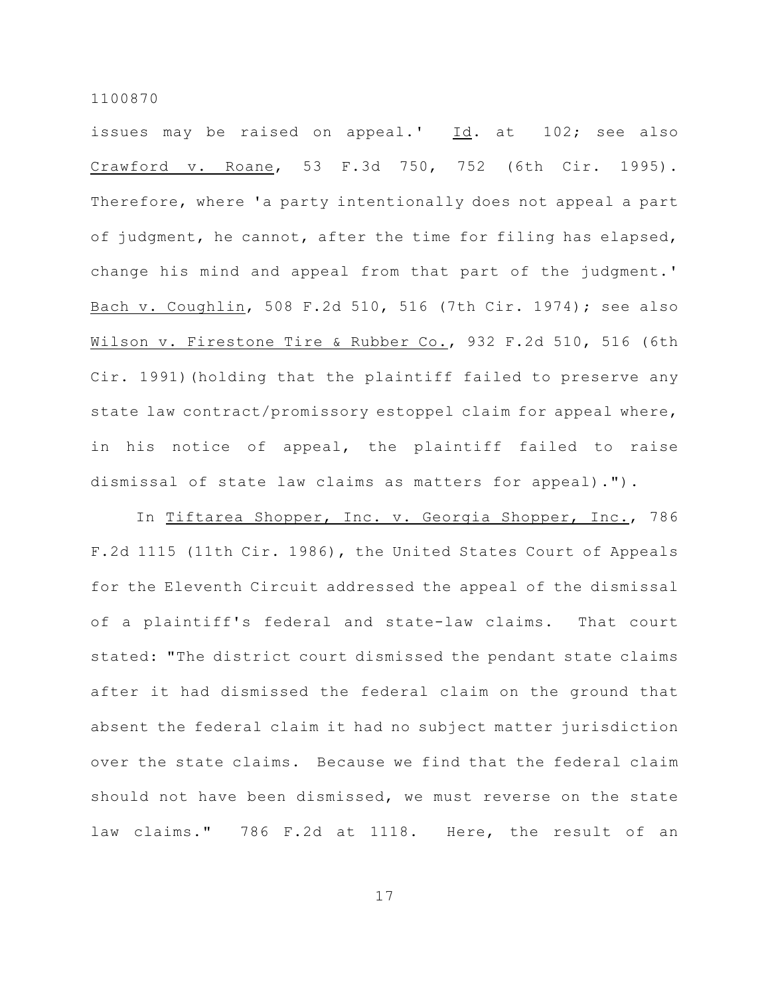issues may be raised on appeal.' Id. at 102; see also Crawford v. Roane, 53 F.3d 750, 752 (6th Cir. 1995). Therefore, where 'a party intentionally does not appeal a part of judgment, he cannot, after the time for filing has elapsed, change his mind and appeal from that part of the judgment.' Bach v. Coughlin, 508 F.2d 510, 516 (7th Cir. 1974); see also Wilson v. Firestone Tire & Rubber Co., 932 F.2d 510, 516 (6th Cir. 1991)(holding that the plaintiff failed to preserve any state law contract/promissory estoppel claim for appeal where, in his notice of appeal, the plaintiff failed to raise dismissal of state law claims as matters for appeal).").

In Tiftarea Shopper, Inc. v. Georgia Shopper, Inc., 786 F.2d 1115 (11th Cir. 1986), the United States Court of Appeals for the Eleventh Circuit addressed the appeal of the dismissal of a plaintiff's federal and state-law claims. That court stated: "The district court dismissed the pendant state claims after it had dismissed the federal claim on the ground that absent the federal claim it had no subject matter jurisdiction over the state claims. Because we find that the federal claim should not have been dismissed, we must reverse on the state law claims." 786 F.2d at 1118. Here, the result of an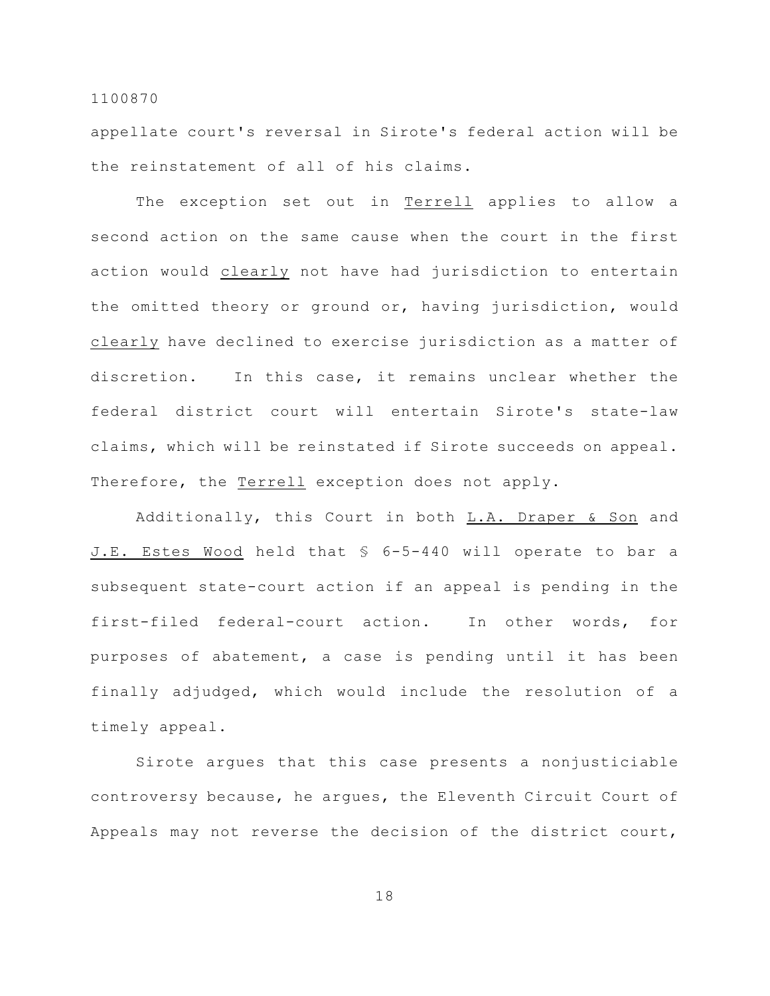appellate court's reversal in Sirote's federal action will be the reinstatement of all of his claims.

The exception set out in Terrell applies to allow a second action on the same cause when the court in the first action would clearly not have had jurisdiction to entertain the omitted theory or ground or, having jurisdiction, would clearly have declined to exercise jurisdiction as a matter of discretion. In this case, it remains unclear whether the federal district court will entertain Sirote's state-law claims, which will be reinstated if Sirote succeeds on appeal. Therefore, the Terrell exception does not apply.

Additionally, this Court in both L.A. Draper & Son and J.E. Estes Wood held that § 6-5-440 will operate to bar a subsequent state-court action if an appeal is pending in the first-filed federal-court action. In other words, for purposes of abatement, a case is pending until it has been finally adjudged, which would include the resolution of a timely appeal.

Sirote argues that this case presents a nonjusticiable controversy because, he argues, the Eleventh Circuit Court of Appeals may not reverse the decision of the district court,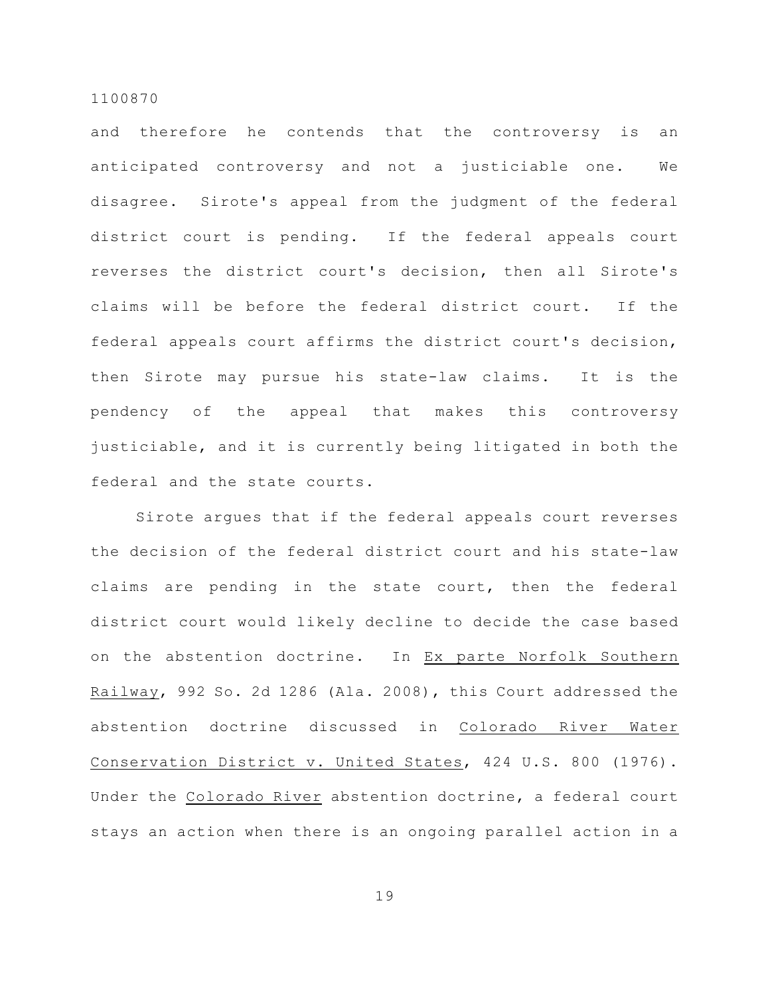and therefore he contends that the controversy is an anticipated controversy and not a justiciable one. We disagree. Sirote's appeal from the judgment of the federal district court is pending. If the federal appeals court reverses the district court's decision, then all Sirote's claims will be before the federal district court. If the federal appeals court affirms the district court's decision, then Sirote may pursue his state-law claims. It is the pendency of the appeal that makes this controversy justiciable, and it is currently being litigated in both the federal and the state courts.

Sirote argues that if the federal appeals court reverses the decision of the federal district court and his state-law claims are pending in the state court, then the federal district court would likely decline to decide the case based on the abstention doctrine. In Ex parte Norfolk Southern Railway, 992 So. 2d 1286 (Ala. 2008), this Court addressed the abstention doctrine discussed in Colorado River Water Conservation District v. United States, 424 U.S. 800 (1976). Under the Colorado River abstention doctrine, a federal court stays an action when there is an ongoing parallel action in a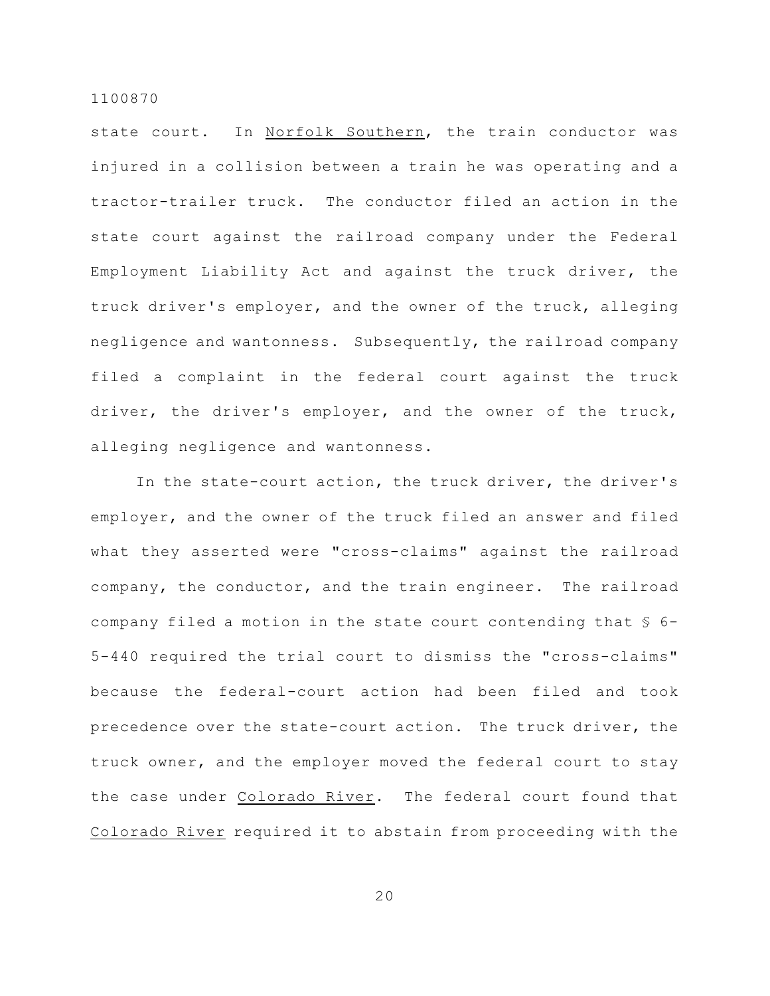state court. In Norfolk Southern, the train conductor was injured in a collision between a train he was operating and a tractor-trailer truck. The conductor filed an action in the state court against the railroad company under the Federal Employment Liability Act and against the truck driver, the truck driver's employer, and the owner of the truck, alleging negligence and wantonness. Subsequently, the railroad company filed a complaint in the federal court against the truck driver, the driver's employer, and the owner of the truck, alleging negligence and wantonness.

In the state-court action, the truck driver, the driver's employer, and the owner of the truck filed an answer and filed what they asserted were "cross-claims" against the railroad company, the conductor, and the train engineer. The railroad company filed a motion in the state court contending that § 6- 5-440 required the trial court to dismiss the "cross-claims" because the federal-court action had been filed and took precedence over the state-court action. The truck driver, the truck owner, and the employer moved the federal court to stay the case under Colorado River. The federal court found that Colorado River required it to abstain from proceeding with the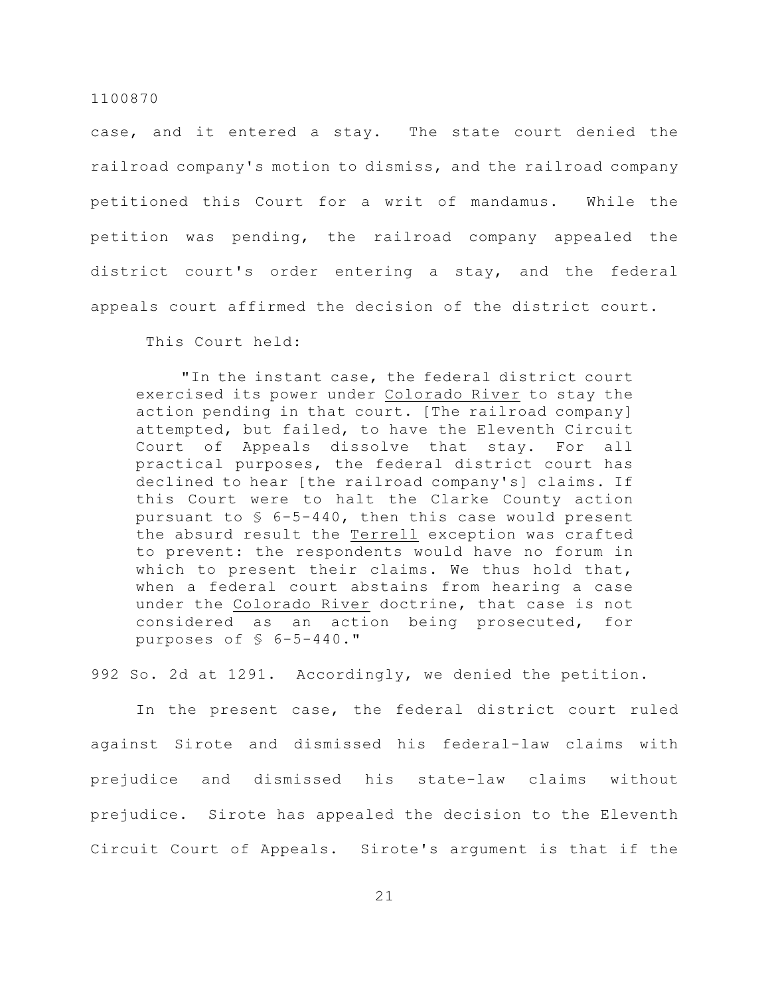case, and it entered a stay. The state court denied the railroad company's motion to dismiss, and the railroad company petitioned this Court for a writ of mandamus. While the petition was pending, the railroad company appealed the district court's order entering a stay, and the federal appeals court affirmed the decision of the district court.

This Court held:

"In the instant case, the federal district court exercised its power under Colorado River to stay the action pending in that court. [The railroad company] attempted, but failed, to have the Eleventh Circuit Court of Appeals dissolve that stay. For all practical purposes, the federal district court has declined to hear [the railroad company's] claims. If this Court were to halt the Clarke County action pursuant to  $$$  6-5-440, then this case would present the absurd result the Terrell exception was crafted to prevent: the respondents would have no forum in which to present their claims. We thus hold that, when a federal court abstains from hearing a case under the Colorado River doctrine, that case is not considered as an action being prosecuted, for purposes of § 6-5-440."

992 So. 2d at 1291. Accordingly, we denied the petition.

In the present case, the federal district court ruled against Sirote and dismissed his federal-law claims with prejudice and dismissed his state-law claims without prejudice. Sirote has appealed the decision to the Eleventh Circuit Court of Appeals. Sirote's argument is that if the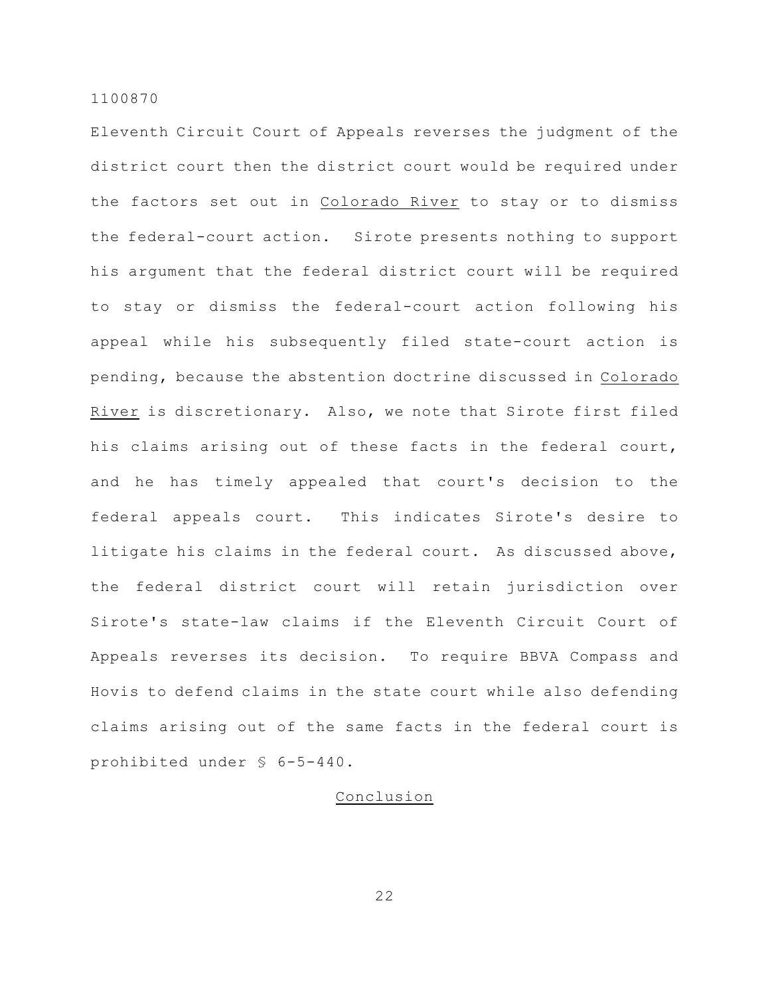Eleventh Circuit Court of Appeals reverses the judgment of the district court then the district court would be required under the factors set out in Colorado River to stay or to dismiss the federal-court action. Sirote presents nothing to support his argument that the federal district court will be required to stay or dismiss the federal-court action following his appeal while his subsequently filed state-court action is pending, because the abstention doctrine discussed in Colorado River is discretionary. Also, we note that Sirote first filed his claims arising out of these facts in the federal court, and he has timely appealed that court's decision to the federal appeals court. This indicates Sirote's desire to litigate his claims in the federal court. As discussed above, the federal district court will retain jurisdiction over Sirote's state-law claims if the Eleventh Circuit Court of Appeals reverses its decision. To require BBVA Compass and Hovis to defend claims in the state court while also defending claims arising out of the same facts in the federal court is prohibited under § 6-5-440.

# Conclusion